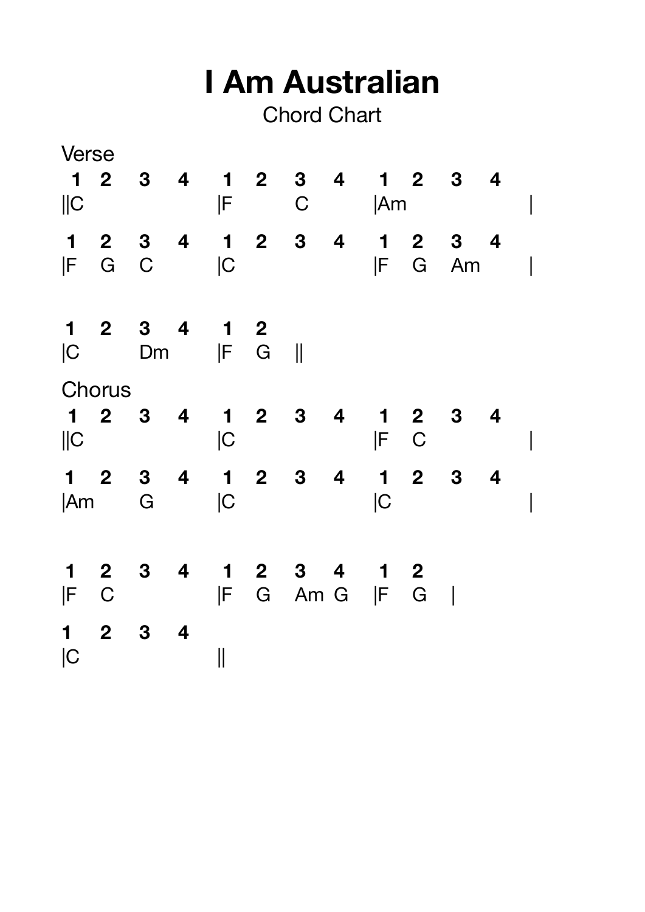| I Am Australian<br><b>Chord Chart</b> |                     |                                           |           |                   |             |                                     |   |           |                                                       |                                                 |   |  |
|---------------------------------------|---------------------|-------------------------------------------|-----------|-------------------|-------------|-------------------------------------|---|-----------|-------------------------------------------------------|-------------------------------------------------|---|--|
| Verse<br>$\ C$                        |                     | $1234$                                    |           | ΙF                | $1 2$       | 3 <sub>4</sub><br>$\mathsf C$       |   | <b>Am</b> |                                                       | $\begin{array}{cccc} 1 & 2 & 3 & 4 \end{array}$ |   |  |
| $\mathbf 1$<br>IF                     | $\mathbf{2}$<br>G C | $3 \quad 4$                               |           | C                 |             | $1 2 3 4$                           |   | IF        | $\begin{array}{cc} 1 & 2 \end{array}$<br>G            | $\mathbf{3}$<br>Am                              | 4 |  |
| C                                     |                     | <b>Dm</b>                                 | 2 3 4 1 2 | F                 | G           | $\blacksquare$                      |   |           |                                                       |                                                 |   |  |
| Chorus                                |                     |                                           |           |                   |             |                                     |   |           |                                                       |                                                 |   |  |
| $\mathbf 1$<br>$\ C$                  | $\mathbf{2}$        | $3\phantom{a}$<br>$\overline{\mathbf{4}}$ |           | C                 | $1 \quad 2$ | $\mathbf{3}$                        | 4 | F         | $\begin{array}{cc} 1 & 2 \end{array}$<br>$\mathsf{C}$ | 3 <sub>1</sub>                                  |   |  |
| $\blacksquare$<br> Am                 | $\overline{2}$      | 3 <sub>1</sub><br>G                       |           | C                 |             | $1 2 3 4$                           |   | C         | $1 2 3$                                               |                                                 | 4 |  |
| $\mathbf 1$<br>$ F \quad C$           |                     |                                           |           |                   |             | 2 3 4 1 2 3 4 1 2<br> F G Am G  F G |   |           |                                                       |                                                 |   |  |
| $1 2 3 4$<br> C                       |                     |                                           |           | $\prod_{i=1}^{n}$ |             |                                     |   |           |                                                       |                                                 |   |  |